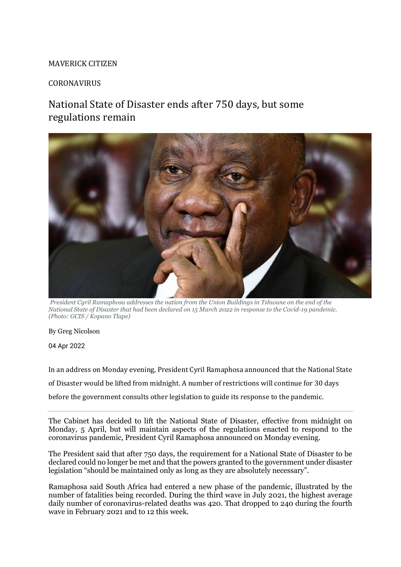## MAVERICK CITIZEN

## CORONAVIRUS

## National State of Disaster ends after 750 days, but some regulations remain



*President Cyril Ramaphosa addresses the nation from the Union Buildings in Tshwane on the end of the National State of Disaster that had been declared on 15 March 2022 in response to the Covid-19 pandemic. (Photo: GCIS / Kopano Tlape)*

By [Greg Nicolson](https://www.dailymaverick.co.za/author/gregnicolson/)

04 Apr 2022

In an address on Monday evening, President Cyril Ramaphosa announced that the National State of Disaster would be lifted from midnight. A number of restrictions will continue for 30 days before the government consults other legislation to guide its response to the pandemic.

The Cabinet has decided to lift the National State of Disaster, effective from midnight on Monday, 5 April, but will maintain aspects of the regulations enacted to respond to the coronavirus pandemic, President Cyril Ramaphosa announced on Monday evening.

The President said that after 750 days, the requirement for a National State of Disaster to be declared could no longer be met and that the powers granted to the government under disaster legislation "should be maintained only as long as they are absolutely necessary".

Ramaphosa said South Africa had entered a new phase of the pandemic, illustrated by the number of fatalities being recorded. During the third wave in July 2021, the highest average daily number of coronavirus-related deaths was 420. That dropped to 240 during the fourth wave in February 2021 and to 12 this week.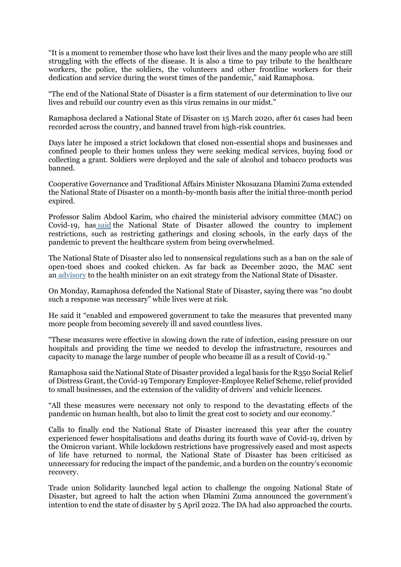"It is a moment to remember those who have lost their lives and the many people who are still struggling with the effects of the disease. It is also a time to pay tribute to the healthcare workers, the police, the soldiers, the volunteers and other frontline workers for their dedication and service during the worst times of the pandemic," said Ramaphosa.

"The end of the National State of Disaster is a firm statement of our determination to live our lives and rebuild our country even as this virus remains in our midst."

Ramaphosa declared a National State of Disaster on 15 March 2020, after 61 cases had been recorded across the country, and banned travel from high-risk countries.

Days later he imposed a strict lockdown that closed non-essential shops and businesses and confined people to their homes unless they were seeking medical services, buying food or collecting a grant. Soldiers were deployed and the sale of alcohol and tobacco products was banned.

Cooperative Governance and Traditional Affairs Minister Nkosazana Dlamini Zuma extended the National State of Disaster on a month-by-month basis after the initial three-month period expired.

Professor Salim Abdool Karim, who chaired the ministerial advisory committee (MAC) on Covid-19, has [said](https://www.news24.com/news24/southafrica/news/prof-karim-reflects-on-a-year-of-covid-19-we-were-sailing-a-ship-while-building-it-20210305) the National State of Disaster allowed the country to implement restrictions, such as restricting gatherings and closing schools, in the early days of the pandemic to prevent the healthcare system from being overwhelmed.

The National State of Disaster also led to nonsensical regulations such as a ban on the sale of open-toed shoes and cooked chicken. As far back as December 2020, the MAC sent an [advisory](https://sacoronavirus.b-cdn.net/wp-content/uploads/2021/04/MAC-Advisory-Memo_Regulations-14-December-2020.pdf) to the health minister on an exit strategy from the National State of Disaster.

On Monday, Ramaphosa defended the National State of Disaster, saying there was "no doubt such a response was necessary" while lives were at risk.

He said it "enabled and empowered government to take the measures that prevented many more people from becoming severely ill and saved countless lives.

"These measures were effective in slowing down the rate of infection, easing pressure on our hospitals and providing the time we needed to develop the infrastructure, resources and capacity to manage the large number of people who became ill as a result of Covid-19."

Ramaphosa said the National State of Disaster provided a legal basis for the R350 Social Relief of Distress Grant, the Covid-19 Temporary Employer-Employee Relief Scheme, relief provided to small businesses, and the extension of the validity of drivers' and vehicle licences.

"All these measures were necessary not only to respond to the devastating effects of the pandemic on human health, but also to limit the great cost to society and our economy."

Calls to finally end the National State of Disaster increased this year after the country experienced fewer hospitalisations and deaths during its fourth wave of Covid-19, driven by the Omicron variant. While lockdown restrictions have progressively eased and most aspects of life have returned to normal, the National State of Disaster has been criticised as unnecessary for reducing the impact of the pandemic, and a burden on the country's economic recovery.

Trade union Solidarity launched legal action to challenge the ongoing National State of Disaster, but agreed to halt the action when Dlamini Zuma announced the government's intention to end the state of disaster by 5 April 2022. The DA had also approached the courts.